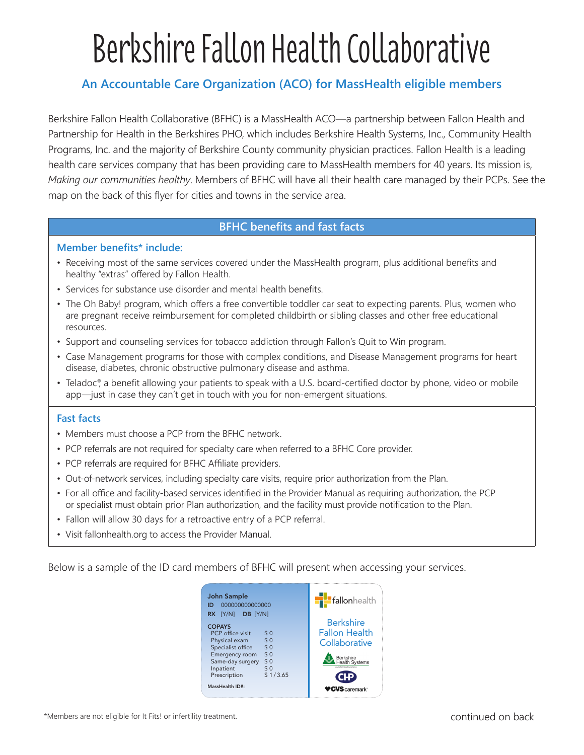# Berkshire Fallon Health Collaborative

# **An Accountable Care Organization (ACO) for MassHealth eligible members**

Berkshire Fallon Health Collaborative (BFHC) is a MassHealth ACO—a partnership between Fallon Health and Partnership for Health in the Berkshires PHO, which includes Berkshire Health Systems, Inc., Community Health Programs, Inc. and the majority of Berkshire County community physician practices. Fallon Health is a leading health care services company that has been providing care to MassHealth members for 40 years. Its mission is, *Making our communities healthy*. Members of BFHC will have all their health care managed by their PCPs. See the map on the back of this flyer for cities and towns in the service area.

# **BFHC benefits and fast facts**

#### **Member benefits\* include:**

- Receiving most of the same services covered under the MassHealth program, plus additional benefits and healthy "extras" offered by Fallon Health.
- Services for substance use disorder and mental health benefits.
- The Oh Baby! program, which offers a free convertible toddler car seat to expecting parents. Plus, women who are pregnant receive reimbursement for completed childbirth or sibling classes and other free educational resources.
- Support and counseling services for tobacco addiction through Fallon's Quit to Win program.
- Case Management programs for those with complex conditions, and Disease Management programs for heart disease, diabetes, chronic obstructive pulmonary disease and asthma.
- Teladoc®, a benefit allowing your patients to speak with a U.S. board-certified doctor by phone, video or mobile app—just in case they can't get in touch with you for non-emergent situations.

## **Fast facts**

- Members must choose a PCP from the BFHC network.
- PCP referrals are not required for specialty care when referred to a BFHC Core provider.
- PCP referrals are required for BFHC Affiliate providers.
- Out-of-network services, including specialty care visits, require prior authorization from the Plan.
- For all office and facility-based services identified in the Provider Manual as requiring authorization, the PCP or specialist must obtain prior Plan authorization, and the facility must provide notification to the Plan.
- Fallon will allow 30 days for a retroactive entry of a PCP referral.
- Visit fallonhealth.org to access the Provider Manual.

Below is a sample of the ID card members of BFHC will present when accessing your services.